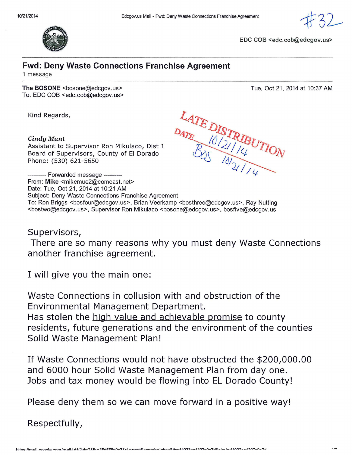

EDC COB <edc.cob@edcgov.us>

Tue, Oct 21, 2014 at 10:37 AM

## **Fwd: Deny Waste Connections Franchise Agreement**

1 message

The BOSONE <bosone@edcgov.us> To: EDC COB <edc.cob@edcgov.us>

Kind Regards,

## Cindy Munt

Assistant to Supervisor Ron Mikulaco, Dist 1 Board of Supervisors, County of El Dorado Phone: (530) 621-5650



--- Forwarded message ----------From: Mike <mikemue2@comcast.net> Date: Tue, Oct 21, 2014 at 10:21 AM Subject: Deny Waste Connections Franchise Agreement To: Ron Briggs <bosfour@edcgov.us>, Brian Veerkamp <bosthree@edcgov.us>, Ray Nutting <bostwo@edcgov.us>, Supervisor Ron Mikulaco <bosone@edcgov.us>, bosfive@edcgov.us

Supervisors,

There are so many reasons why you must deny Waste Connections another franchise agreement.

I will give you the main one:

Waste Connections in collusion with and obstruction of the Environmental Management Department. Has stolen the high value and achievable promise to county residents, future generations and the environment of the counties Solid Waste Management Plan!

If Waste Connections would not have obstructed the \$200,000.00 and 6000 hour Solid Waste Management Plan from day one. Jobs and tax money would be flowing into EL Dorado County!

Please deny them so we can move forward in a positive way!

Respectfully,